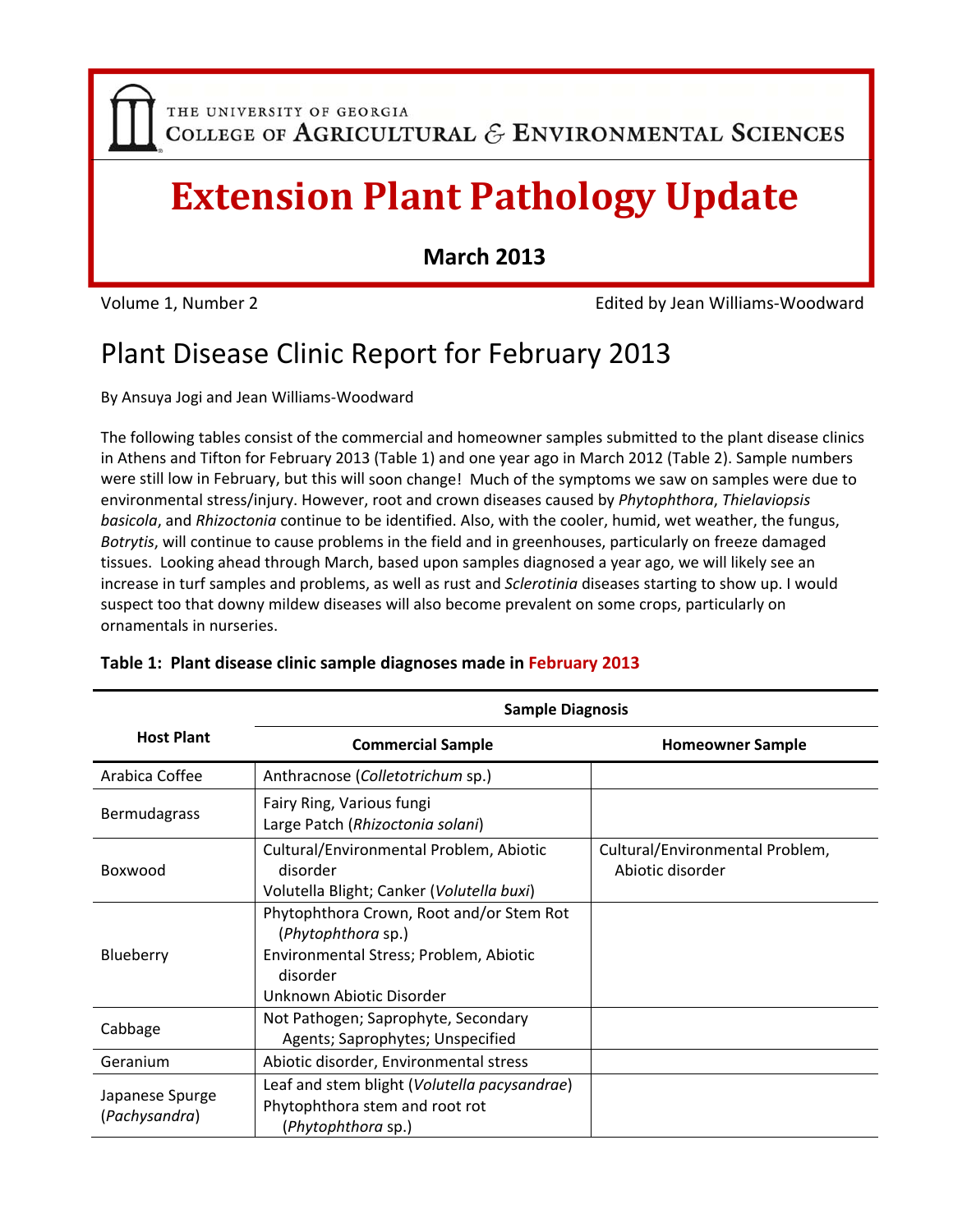THE UNIVERSITY OF GEORGIA COLLEGE OF AGRICULTURAL  $\mathcal E$  ENVIRONMENTAL SCIENCES

# **Extension Plant Pathology Update**

**March 2013**

Volume 1, Number 2 Edited by Jean Williams‐Woodward

### Plant Disease Clinic Report for February 2013

By Ansuya Jogi and Jean Williams‐Woodward

The following tables consist of the commercial and homeowner samples submitted to the plant disease clinics in Athens and Tifton for February 2013 (Table 1) and one year ago in March 2012 (Table 2). Sample numbers were still low in February, but this will soon change! Much of the symptoms we saw on samples were due to environmental stress/injury. However, root and crown diseases caused by *Phytophthora*, *Thielaviopsis basicola*, and *Rhizoctonia* continue to be identified. Also, with the cooler, humid, wet weather, the fungus, *Botrytis*, will continue to cause problems in the field and in greenhouses, particularly on freeze damaged tissues. Looking ahead through March, based upon samples diagnosed a year ago, we will likely see an increase in turf samples and problems, as well as rust and *Sclerotinia* diseases starting to show up. I would suspect too that downy mildew diseases will also become prevalent on some crops, particularly on ornamentals in nurseries.

|                                                                                    | <b>Sample Diagnosis</b>                                                                                                                          |                                                     |  |
|------------------------------------------------------------------------------------|--------------------------------------------------------------------------------------------------------------------------------------------------|-----------------------------------------------------|--|
| <b>Host Plant</b>                                                                  | <b>Commercial Sample</b>                                                                                                                         | <b>Homeowner Sample</b>                             |  |
| Arabica Coffee                                                                     | Anthracnose (Colletotrichum sp.)                                                                                                                 |                                                     |  |
| <b>Bermudagrass</b>                                                                | Fairy Ring, Various fungi<br>Large Patch (Rhizoctonia solani)                                                                                    |                                                     |  |
| Boxwood                                                                            | Cultural/Environmental Problem, Abiotic<br>disorder<br>Volutella Blight; Canker (Volutella buxi)                                                 | Cultural/Environmental Problem,<br>Abiotic disorder |  |
| Blueberry                                                                          | Phytophthora Crown, Root and/or Stem Rot<br>(Phytophthora sp.)<br>Environmental Stress; Problem, Abiotic<br>disorder<br>Unknown Abiotic Disorder |                                                     |  |
| Not Pathogen; Saprophyte, Secondary<br>Cabbage<br>Agents; Saprophytes; Unspecified |                                                                                                                                                  |                                                     |  |
| Geranium                                                                           | Abiotic disorder, Environmental stress                                                                                                           |                                                     |  |
| Japanese Spurge<br>(Pachysandra)                                                   | Leaf and stem blight (Volutella pacysandrae)<br>Phytophthora stem and root rot<br>(Phytophthora sp.)                                             |                                                     |  |

#### **Table 1: Plant disease clinic sample diagnoses made in February 2013**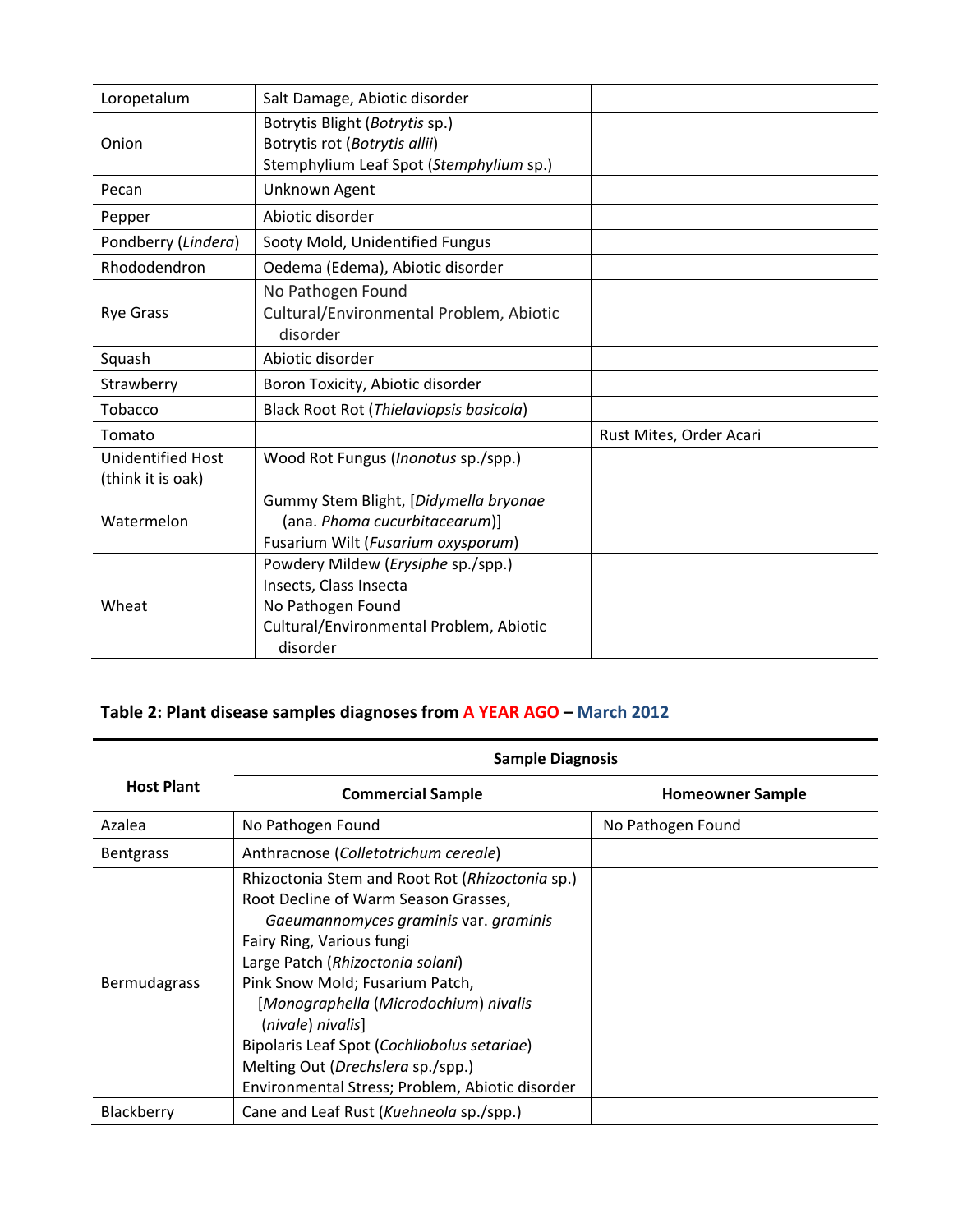| Loropetalum                                   | Salt Damage, Abiotic disorder                                                                                                            |                         |
|-----------------------------------------------|------------------------------------------------------------------------------------------------------------------------------------------|-------------------------|
| Onion                                         | Botrytis Blight (Botrytis sp.)<br>Botrytis rot (Botrytis allii)<br>Stemphylium Leaf Spot (Stemphylium sp.)                               |                         |
| Pecan                                         | Unknown Agent                                                                                                                            |                         |
| Pepper                                        | Abiotic disorder                                                                                                                         |                         |
| Pondberry (Lindera)                           | Sooty Mold, Unidentified Fungus                                                                                                          |                         |
| Rhododendron                                  | Oedema (Edema), Abiotic disorder                                                                                                         |                         |
| <b>Rye Grass</b>                              | No Pathogen Found<br>Cultural/Environmental Problem, Abiotic<br>disorder                                                                 |                         |
| Squash                                        | Abiotic disorder                                                                                                                         |                         |
| Strawberry                                    | Boron Toxicity, Abiotic disorder                                                                                                         |                         |
| Tobacco                                       | Black Root Rot (Thielaviopsis basicola)                                                                                                  |                         |
| Tomato                                        |                                                                                                                                          | Rust Mites, Order Acari |
| <b>Unidentified Host</b><br>(think it is oak) | Wood Rot Fungus ( <i>Inonotus</i> sp./spp.)                                                                                              |                         |
| Watermelon                                    | Gummy Stem Blight, [Didymella bryonae<br>(ana. Phoma cucurbitacearum)]<br>Fusarium Wilt (Fusarium oxysporum)                             |                         |
| Wheat                                         | Powdery Mildew (Erysiphe sp./spp.)<br>Insects, Class Insecta<br>No Pathogen Found<br>Cultural/Environmental Problem, Abiotic<br>disorder |                         |

### **Table 2: Plant disease samples diagnoses from A YEAR AGO – March 2012**

|                     | <b>Sample Diagnosis</b>                                                                                                                                                                                                                                                                                                                                                                                                                   |                         |  |
|---------------------|-------------------------------------------------------------------------------------------------------------------------------------------------------------------------------------------------------------------------------------------------------------------------------------------------------------------------------------------------------------------------------------------------------------------------------------------|-------------------------|--|
| <b>Host Plant</b>   | <b>Commercial Sample</b>                                                                                                                                                                                                                                                                                                                                                                                                                  | <b>Homeowner Sample</b> |  |
| Azalea              | No Pathogen Found                                                                                                                                                                                                                                                                                                                                                                                                                         | No Pathogen Found       |  |
| <b>Bentgrass</b>    | Anthracnose (Colletotrichum cereale)                                                                                                                                                                                                                                                                                                                                                                                                      |                         |  |
| <b>Bermudagrass</b> | Rhizoctonia Stem and Root Rot (Rhizoctonia sp.)<br>Root Decline of Warm Season Grasses,<br>Gaeumannomyces graminis var. graminis<br>Fairy Ring, Various fungi<br>Large Patch (Rhizoctonia solani)<br>Pink Snow Mold; Fusarium Patch,<br>[Monographella (Microdochium) nivalis<br>(nivale) nivalis]<br>Bipolaris Leaf Spot (Cochliobolus setariae)<br>Melting Out (Drechslera sp./spp.)<br>Environmental Stress; Problem, Abiotic disorder |                         |  |
| Blackberry          | Cane and Leaf Rust (Kuehneola sp./spp.)                                                                                                                                                                                                                                                                                                                                                                                                   |                         |  |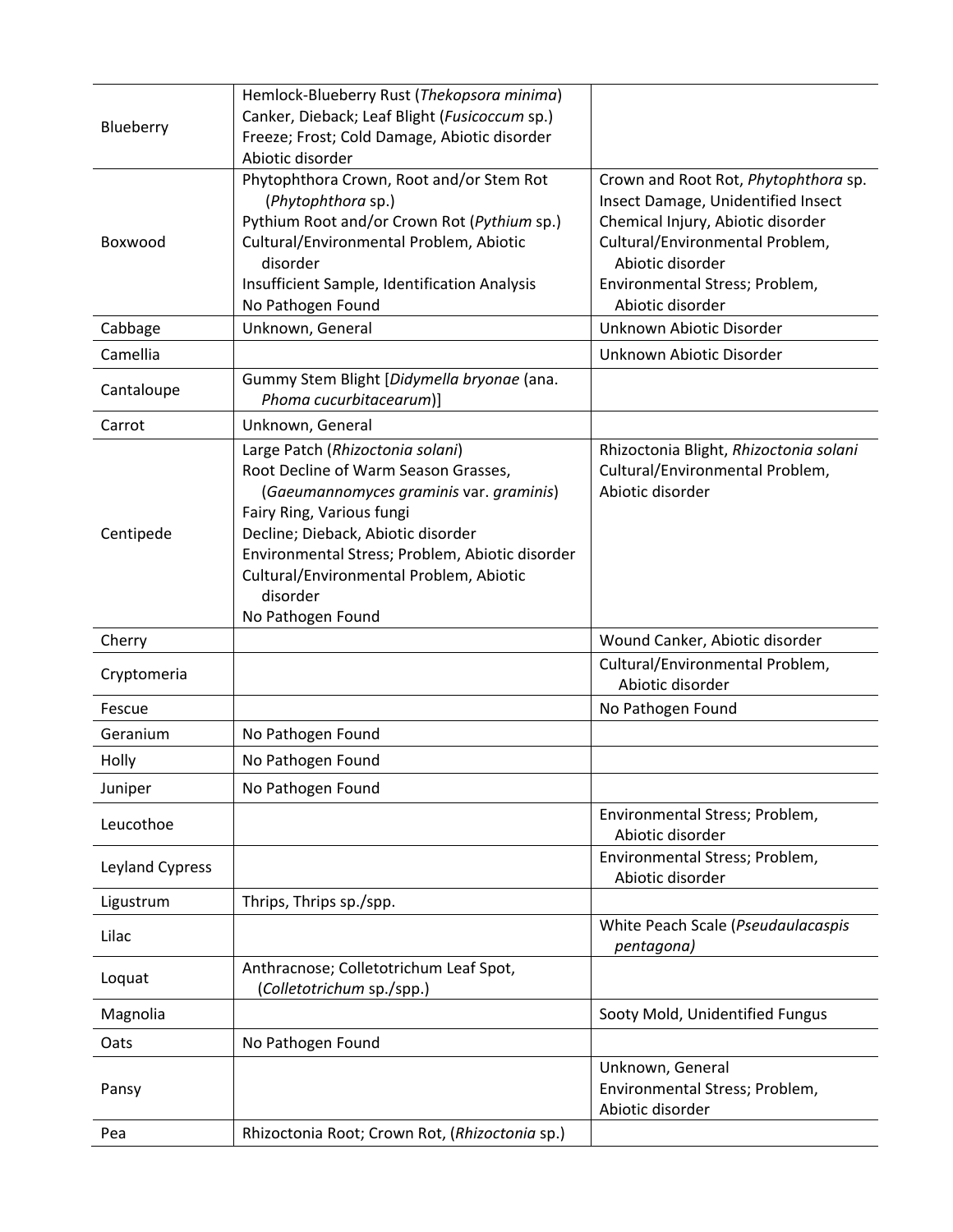| Blueberry       | Hemlock-Blueberry Rust (Thekopsora minima)<br>Canker, Dieback; Leaf Blight (Fusicoccum sp.)<br>Freeze; Frost; Cold Damage, Abiotic disorder<br>Abiotic disorder                                                                                                                                                       |                                                                                                                                                                                                                              |
|-----------------|-----------------------------------------------------------------------------------------------------------------------------------------------------------------------------------------------------------------------------------------------------------------------------------------------------------------------|------------------------------------------------------------------------------------------------------------------------------------------------------------------------------------------------------------------------------|
| Boxwood         | Phytophthora Crown, Root and/or Stem Rot<br>(Phytophthora sp.)<br>Pythium Root and/or Crown Rot (Pythium sp.)<br>Cultural/Environmental Problem, Abiotic<br>disorder<br>Insufficient Sample, Identification Analysis<br>No Pathogen Found                                                                             | Crown and Root Rot, Phytophthora sp.<br>Insect Damage, Unidentified Insect<br>Chemical Injury, Abiotic disorder<br>Cultural/Environmental Problem,<br>Abiotic disorder<br>Environmental Stress; Problem,<br>Abiotic disorder |
| Cabbage         | Unknown, General                                                                                                                                                                                                                                                                                                      | Unknown Abiotic Disorder                                                                                                                                                                                                     |
| Camellia        |                                                                                                                                                                                                                                                                                                                       | Unknown Abiotic Disorder                                                                                                                                                                                                     |
| Cantaloupe      | Gummy Stem Blight [Didymella bryonae (ana.<br>Phoma cucurbitacearum)]                                                                                                                                                                                                                                                 |                                                                                                                                                                                                                              |
| Carrot          | Unknown, General                                                                                                                                                                                                                                                                                                      |                                                                                                                                                                                                                              |
| Centipede       | Large Patch (Rhizoctonia solani)<br>Root Decline of Warm Season Grasses,<br>(Gaeumannomyces graminis var. graminis)<br>Fairy Ring, Various fungi<br>Decline; Dieback, Abiotic disorder<br>Environmental Stress; Problem, Abiotic disorder<br>Cultural/Environmental Problem, Abiotic<br>disorder<br>No Pathogen Found | Rhizoctonia Blight, Rhizoctonia solani<br>Cultural/Environmental Problem,<br>Abiotic disorder                                                                                                                                |
| Cherry          |                                                                                                                                                                                                                                                                                                                       | Wound Canker, Abiotic disorder                                                                                                                                                                                               |
| Cryptomeria     |                                                                                                                                                                                                                                                                                                                       | Cultural/Environmental Problem,<br>Abiotic disorder                                                                                                                                                                          |
| Fescue          |                                                                                                                                                                                                                                                                                                                       | No Pathogen Found                                                                                                                                                                                                            |
| Geranium        | No Pathogen Found                                                                                                                                                                                                                                                                                                     |                                                                                                                                                                                                                              |
| Holly           | No Pathogen Found                                                                                                                                                                                                                                                                                                     |                                                                                                                                                                                                                              |
| Juniper         | No Pathogen Found                                                                                                                                                                                                                                                                                                     |                                                                                                                                                                                                                              |
| Leucothoe       |                                                                                                                                                                                                                                                                                                                       | Environmental Stress; Problem,<br>Abiotic disorder                                                                                                                                                                           |
| Leyland Cypress |                                                                                                                                                                                                                                                                                                                       | Environmental Stress; Problem,<br>Abiotic disorder                                                                                                                                                                           |
| Ligustrum       | Thrips, Thrips sp./spp.                                                                                                                                                                                                                                                                                               |                                                                                                                                                                                                                              |
| Lilac           |                                                                                                                                                                                                                                                                                                                       | White Peach Scale (Pseudaulacaspis<br>pentagona)                                                                                                                                                                             |
| Loquat          | Anthracnose; Colletotrichum Leaf Spot,<br>(Colletotrichum sp./spp.)                                                                                                                                                                                                                                                   |                                                                                                                                                                                                                              |
| Magnolia        |                                                                                                                                                                                                                                                                                                                       | Sooty Mold, Unidentified Fungus                                                                                                                                                                                              |
| Oats            | No Pathogen Found                                                                                                                                                                                                                                                                                                     |                                                                                                                                                                                                                              |
| Pansy           |                                                                                                                                                                                                                                                                                                                       | Unknown, General<br>Environmental Stress; Problem,<br>Abiotic disorder                                                                                                                                                       |
| Pea             | Rhizoctonia Root; Crown Rot, (Rhizoctonia sp.)                                                                                                                                                                                                                                                                        |                                                                                                                                                                                                                              |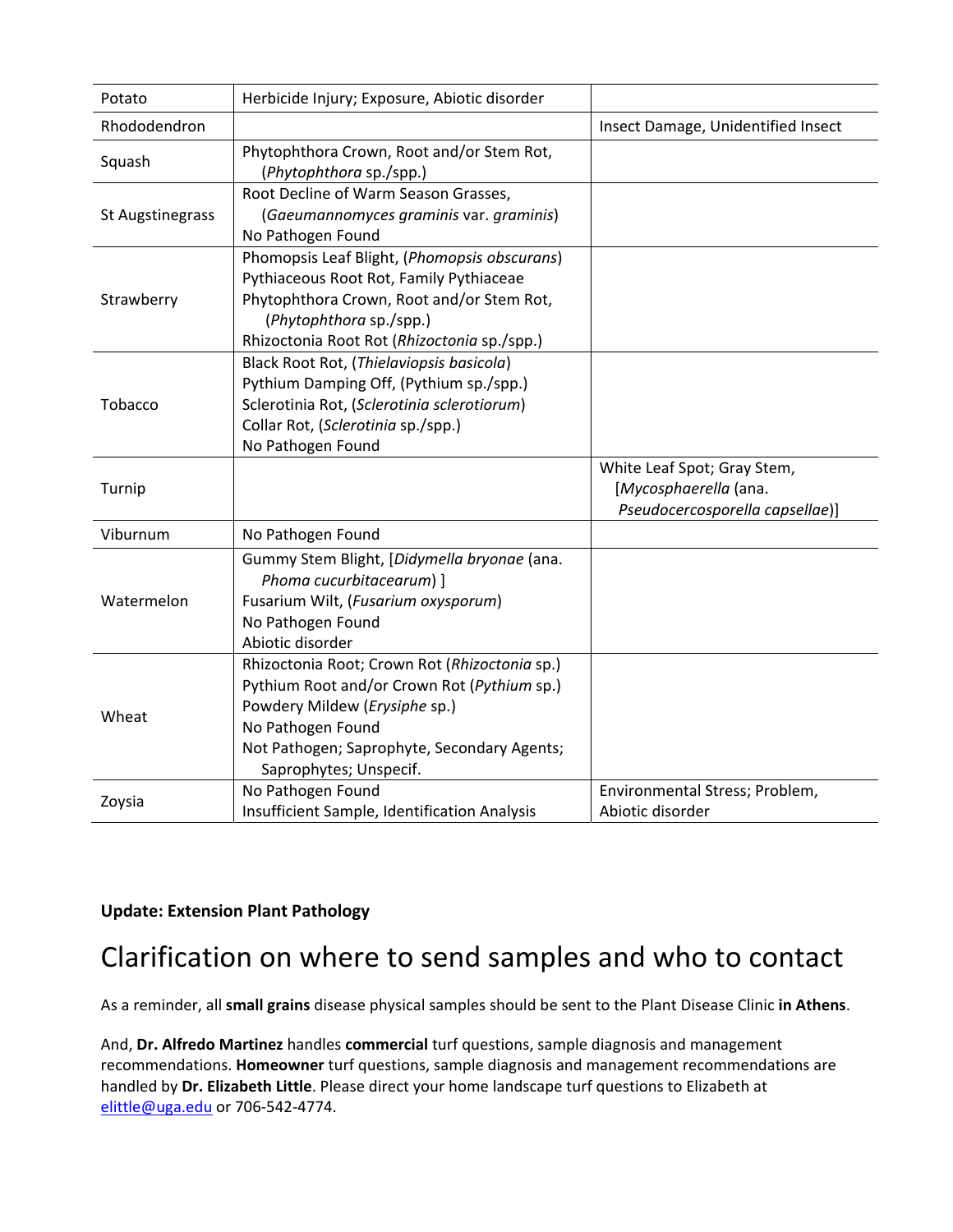| Potato           | Herbicide Injury; Exposure, Abiotic disorder                                                                                                                                                                                |                                                                                         |
|------------------|-----------------------------------------------------------------------------------------------------------------------------------------------------------------------------------------------------------------------------|-----------------------------------------------------------------------------------------|
| Rhododendron     |                                                                                                                                                                                                                             | Insect Damage, Unidentified Insect                                                      |
| Squash           | Phytophthora Crown, Root and/or Stem Rot,<br>(Phytophthora sp./spp.)                                                                                                                                                        |                                                                                         |
| St Augstinegrass | Root Decline of Warm Season Grasses,<br>(Gaeumannomyces graminis var. graminis)<br>No Pathogen Found                                                                                                                        |                                                                                         |
| Strawberry       | Phomopsis Leaf Blight, (Phomopsis obscurans)<br>Pythiaceous Root Rot, Family Pythiaceae<br>Phytophthora Crown, Root and/or Stem Rot,<br>(Phytophthora sp./spp.)<br>Rhizoctonia Root Rot (Rhizoctonia sp./spp.)              |                                                                                         |
| Tobacco          | Black Root Rot, (Thielaviopsis basicola)<br>Pythium Damping Off, (Pythium sp./spp.)<br>Sclerotinia Rot, (Sclerotinia sclerotiorum)<br>Collar Rot, (Sclerotinia sp./spp.)<br>No Pathogen Found                               |                                                                                         |
| Turnip           |                                                                                                                                                                                                                             | White Leaf Spot; Gray Stem,<br>[Mycosphaerella (ana.<br>Pseudocercosporella capsellae)] |
| Viburnum         | No Pathogen Found                                                                                                                                                                                                           |                                                                                         |
| Watermelon       | Gummy Stem Blight, [Didymella bryonae (ana.<br>Phoma cucurbitacearum) ]<br>Fusarium Wilt, (Fusarium oxysporum)<br>No Pathogen Found<br>Abiotic disorder                                                                     |                                                                                         |
| Wheat            | Rhizoctonia Root; Crown Rot (Rhizoctonia sp.)<br>Pythium Root and/or Crown Rot (Pythium sp.)<br>Powdery Mildew (Erysiphe sp.)<br>No Pathogen Found<br>Not Pathogen; Saprophyte, Secondary Agents;<br>Saprophytes; Unspecif. |                                                                                         |
| Zoysia           | No Pathogen Found<br>Insufficient Sample, Identification Analysis                                                                                                                                                           | Environmental Stress; Problem,<br>Abiotic disorder                                      |

#### **Update: Extension Plant Pathology**

### Clarification on where to send samples and who to contact

As a reminder, all **small grains** disease physical samples should be sent to the Plant Disease Clinic **in Athens**.

And, **Dr. Alfredo Martinez** handles **commercial** turf questions, sample diagnosis and management recommendations. **Homeowner** turf questions, sample diagnosis and management recommendations are handled by **Dr. Elizabeth Little**. Please direct your home landscape turf questions to Elizabeth at elittle@uga.edu or 706‐542‐4774.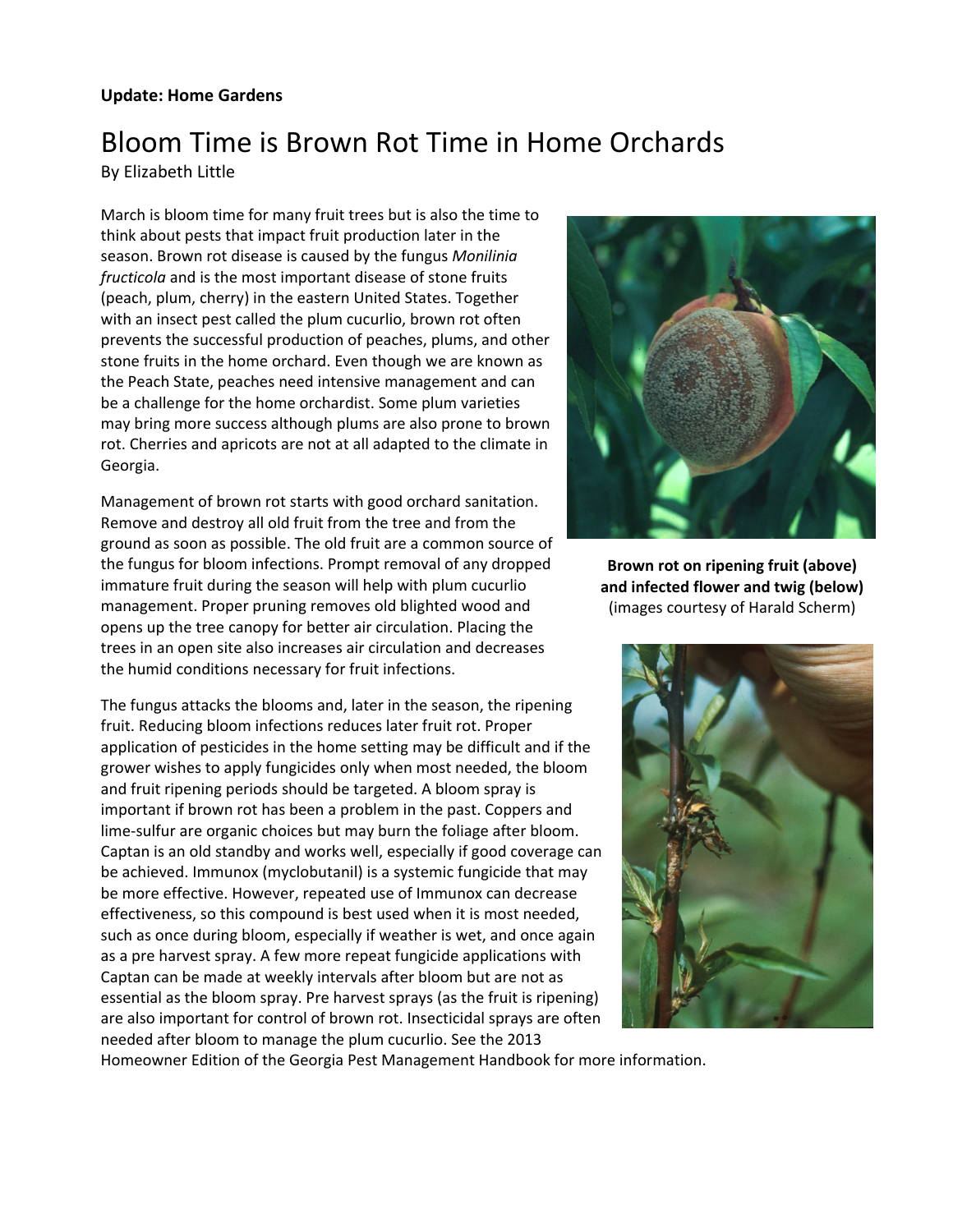#### **Update: Home Gardens**

### Bloom Time is Brown Rot Time in Home Orchards

By Elizabeth Little

March is bloom time for many fruit trees but is also the time to think about pests that impact fruit production later in the season. Brown rot disease is caused by the fungus *Monilinia fructicola* and is the most important disease of stone fruits (peach, plum, cherry) in the eastern United States. Together with an insect pest called the plum cucurlio, brown rot often prevents the successful production of peaches, plums, and other stone fruits in the home orchard. Even though we are known as the Peach State, peaches need intensive management and can be a challenge for the home orchardist. Some plum varieties may bring more success although plums are also prone to brown rot. Cherries and apricots are not at all adapted to the climate in Georgia.

Management of brown rot starts with good orchard sanitation. Remove and destroy all old fruit from the tree and from the ground as soon as possible. The old fruit are a common source of the fungus for bloom infections. Prompt removal of any dropped immature fruit during the season will help with plum cucurlio management. Proper pruning removes old blighted wood and opens up the tree canopy for better air circulation. Placing the trees in an open site also increases air circulation and decreases the humid conditions necessary for fruit infections.

The fungus attacks the blooms and, later in the season, the ripening fruit. Reducing bloom infections reduces later fruit rot. Proper application of pesticides in the home setting may be difficult and if the grower wishes to apply fungicides only when most needed, the bloom and fruit ripening periods should be targeted. A bloom spray is important if brown rot has been a problem in the past. Coppers and lime-sulfur are organic choices but may burn the foliage after bloom. Captan is an old standby and works well, especially if good coverage can be achieved. Immunox (myclobutanil) is a systemic fungicide that may be more effective. However, repeated use of Immunox can decrease effectiveness, so this compound is best used when it is most needed, such as once during bloom, especially if weather is wet, and once again as a pre harvest spray. A few more repeat fungicide applications with Captan can be made at weekly intervals after bloom but are not as essential as the bloom spray. Pre harvest sprays (as the fruit is ripening) are also important for control of brown rot. Insecticidal sprays are often needed after bloom to manage the plum cucurlio. See the 2013



**Brown rot on ripening fruit (above) and infected flower and twig (below)** (images courtesy of Harald Scherm)



Homeowner Edition of the Georgia Pest Management Handbook for more information.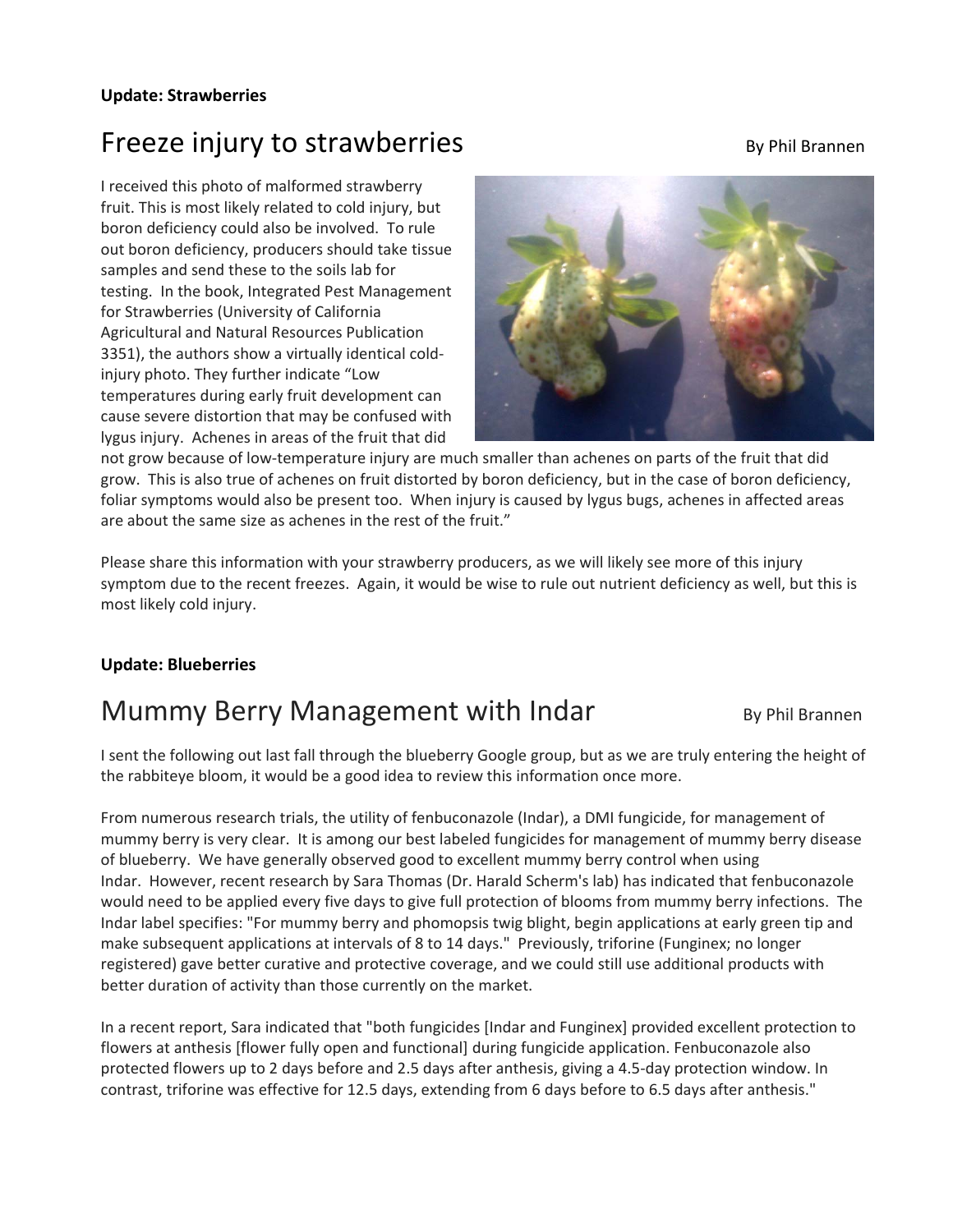#### **Update: Strawberries**

## Freeze injury to strawberries **By Phil Brannen**

I received this photo of malformed strawberry fruit. This is most likely related to cold injury, but boron deficiency could also be involved. To rule out boron deficiency, producers should take tissue samples and send these to the soils lab for testing. In the book, Integrated Pest Management for Strawberries (University of California Agricultural and Natural Resources Publication 3351), the authors show a virtually identical cold‐ injury photo. They further indicate "Low temperatures during early fruit development can cause severe distortion that may be confused with lygus injury. Achenes in areas of the fruit that did



not grow because of low-temperature injury are much smaller than achenes on parts of the fruit that did grow. This is also true of achenes on fruit distorted by boron deficiency, but in the case of boron deficiency, foliar symptoms would also be present too. When injury is caused by lygus bugs, achenes in affected areas are about the same size as achenes in the rest of the fruit."

Please share this information with your strawberry producers, as we will likely see more of this injury symptom due to the recent freezes. Again, it would be wise to rule out nutrient deficiency as well, but this is most likely cold injury.

#### **Update: Blueberries**

### Mummy Berry Management with Indar By Phil Brannen

I sent the following out last fall through the blueberry Google group, but as we are truly entering the height of the rabbiteye bloom, it would be a good idea to review this information once more.

From numerous research trials, the utility of fenbuconazole (Indar), a DMI fungicide, for management of mummy berry is very clear. It is among our best labeled fungicides for management of mummy berry disease of blueberry. We have generally observed good to excellent mummy berry control when using Indar. However, recent research by Sara Thomas (Dr. Harald Scherm's lab) has indicated that fenbuconazole would need to be applied every five days to give full protection of blooms from mummy berry infections. The Indar label specifies: "For mummy berry and phomopsis twig blight, begin applications at early green tip and make subsequent applications at intervals of 8 to 14 days." Previously, triforine (Funginex; no longer registered) gave better curative and protective coverage, and we could still use additional products with better duration of activity than those currently on the market.

In a recent report, Sara indicated that "both fungicides [Indar and Funginex] provided excellent protection to flowers at anthesis [flower fully open and functional] during fungicide application. Fenbuconazole also protected flowers up to 2 days before and 2.5 days after anthesis, giving a 4.5‐day protection window. In contrast, triforine was effective for 12.5 days, extending from 6 days before to 6.5 days after anthesis."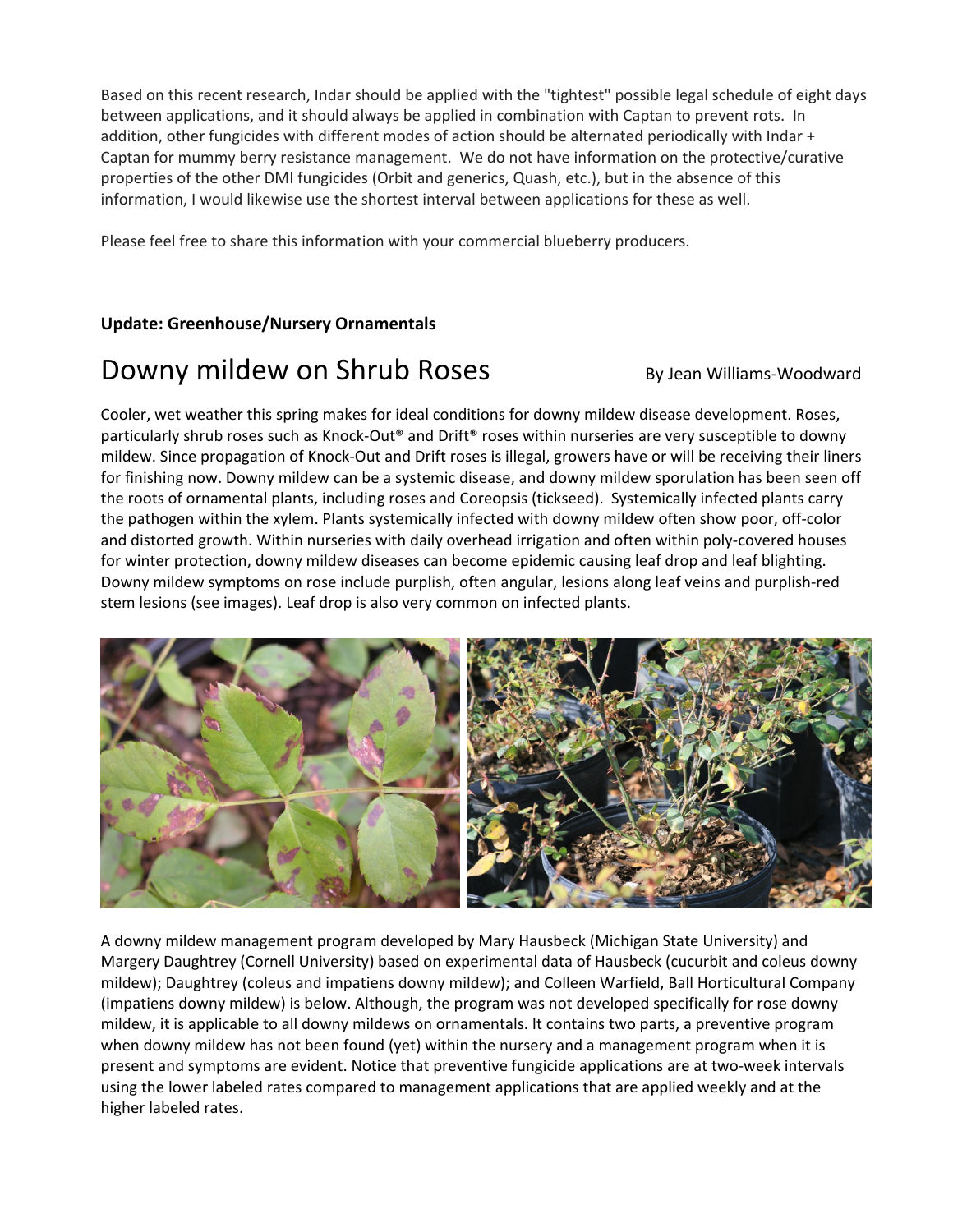Based on this recent research, Indar should be applied with the "tightest" possible legal schedule of eight days between applications, and it should always be applied in combination with Captan to prevent rots. In addition, other fungicides with different modes of action should be alternated periodically with Indar + Captan for mummy berry resistance management. We do not have information on the protective/curative properties of the other DMI fungicides (Orbit and generics, Quash, etc.), but in the absence of this information, I would likewise use the shortest interval between applications for these as well.

Please feel free to share this information with your commercial blueberry producers.

#### **Update: Greenhouse/Nursery Ornamentals**

### Downy mildew on Shrub Roses By Jean Williams-Woodward

Cooler, wet weather this spring makes for ideal conditions for downy mildew disease development. Roses, particularly shrub roses such as Knock-Out® and Drift® roses within nurseries are very susceptible to downy mildew. Since propagation of Knock‐Out and Drift roses is illegal, growers have or will be receiving their liners for finishing now. Downy mildew can be a systemic disease, and downy mildew sporulation has been seen off the roots of ornamental plants, including roses and Coreopsis (tickseed). Systemically infected plants carry the pathogen within the xylem. Plants systemically infected with downy mildew often show poor, off‐color and distorted growth. Within nurseries with daily overhead irrigation and often within poly‐covered houses for winter protection, downy mildew diseases can become epidemic causing leaf drop and leaf blighting. Downy mildew symptoms on rose include purplish, often angular, lesions along leaf veins and purplish‐red stem lesions (see images). Leaf drop is also very common on infected plants.



A downy mildew management program developed by Mary Hausbeck (Michigan State University) and Margery Daughtrey (Cornell University) based on experimental data of Hausbeck (cucurbit and coleus downy mildew); Daughtrey (coleus and impatiens downy mildew); and Colleen Warfield, Ball Horticultural Company (impatiens downy mildew) is below. Although, the program was not developed specifically for rose downy mildew, it is applicable to all downy mildews on ornamentals. It contains two parts, a preventive program when downy mildew has not been found (yet) within the nursery and a management program when it is present and symptoms are evident. Notice that preventive fungicide applications are at two‐week intervals using the lower labeled rates compared to management applications that are applied weekly and at the higher labeled rates.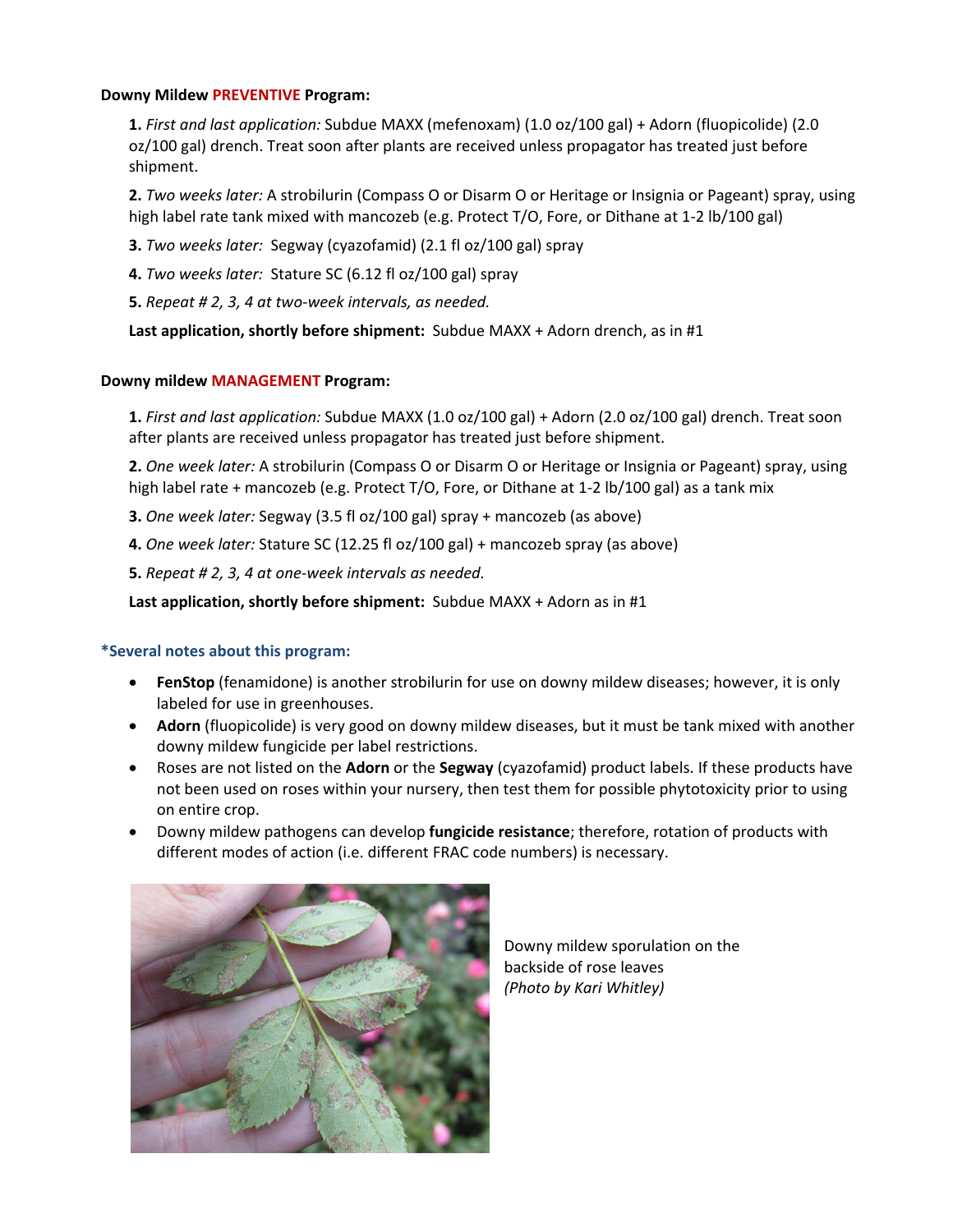#### **Downy Mildew PREVENTIVE Program:**

**1.** *First and last application:* Subdue MAXX (mefenoxam) (1.0 oz/100 gal) + Adorn (fluopicolide) (2.0 oz/100 gal) drench. Treat soon after plants are received unless propagator has treated just before shipment.

**2.** *Two weeks later:* A strobilurin (Compass O or Disarm O or Heritage or Insignia or Pageant) spray, using high label rate tank mixed with mancozeb (e.g. Protect T/O, Fore, or Dithane at 1-2 lb/100 gal)

**3.** *Two weeks later:* Segway (cyazofamid) (2.1 fl oz/100 gal) spray

**4.** *Two weeks later:* Stature SC (6.12 fl oz/100 gal) spray

**5.** *Repeat # 2, 3, 4 at two‐week intervals, as needed.* 

**Last application, shortly before shipment:** Subdue MAXX + Adorn drench, as in #1

#### **Downy mildew MANAGEMENT Program:**

**1.** *First and last application:* Subdue MAXX (1.0 oz/100 gal) + Adorn (2.0 oz/100 gal) drench. Treat soon after plants are received unless propagator has treated just before shipment.

**2.** *One week later:* A strobilurin (Compass O or Disarm O or Heritage or Insignia or Pageant) spray, using high label rate + mancozeb (e.g. Protect T/O, Fore, or Dithane at 1-2 lb/100 gal) as a tank mix

**3.** *One week later:* Segway (3.5 fl oz/100 gal) spray + mancozeb (as above)

**4.** *One week later:* Stature SC (12.25 fl oz/100 gal) + mancozeb spray (as above)

**5.** *Repeat # 2, 3, 4 at one‐week intervals as needed.*

**Last application, shortly before shipment:** Subdue MAXX + Adorn as in #1

#### **\*Several notes about this program:**

- **FenStop** (fenamidone) is another strobilurin for use on downy mildew diseases; however, it is only labeled for use in greenhouses.
- **Adorn** (fluopicolide) is very good on downy mildew diseases, but it must be tank mixed with another downy mildew fungicide per label restrictions.
- Roses are not listed on the **Adorn** or the **Segway** (cyazofamid) product labels. If these products have not been used on roses within your nursery, then test them for possible phytotoxicity prior to using on entire crop.
- Downy mildew pathogens can develop **fungicide resistance**; therefore, rotation of products with different modes of action (i.e. different FRAC code numbers) is necessary.



Downy mildew sporulation on the backside of rose leaves *(Photo by Kari Whitley)*